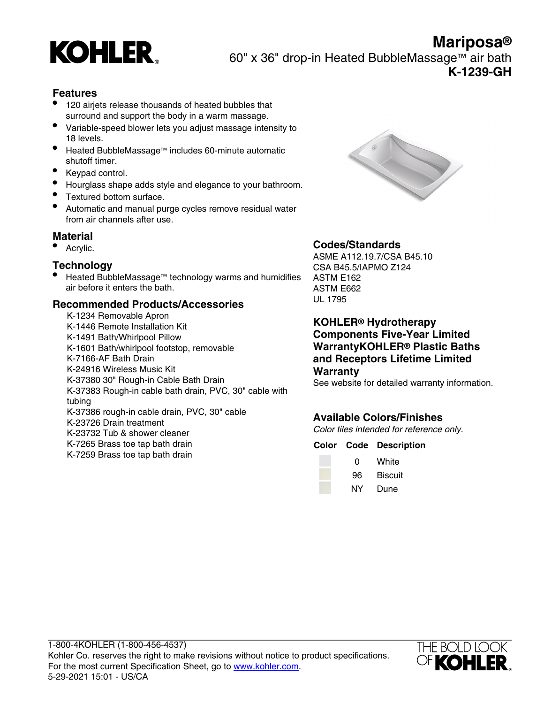

**Mariposa®** 60" x 36" drop-in Heated BubbleMassage™ air bath **K-1239-GH**

## **Features**

- 120 airjets release thousands of heated bubbles that surround and support the body in a warm massage.
- Variable-speed blower lets you adjust massage intensity to 18 levels.
- Heated BubbleMassage™ includes 60-minute automatic shutoff timer.
- Keypad control.
- Hourglass shape adds style and elegance to your bathroom.
- Textured bottom surface.
- Automatic and manual purge cycles remove residual water from air channels after use.

#### **Material**

• Acrylic.

#### **Technology**

• Heated BubbleMassage™ technology warms and humidifies air before it enters the bath.

## **Recommended Products/Accessories**

K-1234 Removable Apron K-1446 Remote Installation Kit K-1491 Bath/Whirlpool Pillow K-1601 Bath/whirlpool footstop, removable K-7166-AF Bath Drain K-24916 Wireless Music Kit K-37380 30" Rough-in Cable Bath Drain K-37383 Rough-in cable bath drain, PVC, 30" cable with tubing K-37386 rough-in cable drain, PVC, 30" cable K-23726 Drain treatment K-23732 Tub & shower cleaner K-7265 Brass toe tap bath drain K-7259 Brass toe tap bath drain



# **Codes/Standards**

ASME A112.19.7/CSA B45.10 CSA B45.5/IAPMO Z124 ASTM E162 ASTM E662 UL 1795

**KOHLER® Hydrotherapy Components Five-Year Limited WarrantyKOHLER® Plastic Baths and Receptors Lifetime Limited Warranty**

See website for detailed warranty information.

# **Available Colors/Finishes**

Color tiles intended for reference only.

#### **Color Code Description**

| O  | White   |
|----|---------|
| 96 | Biscuit |
| NΥ | Dune    |